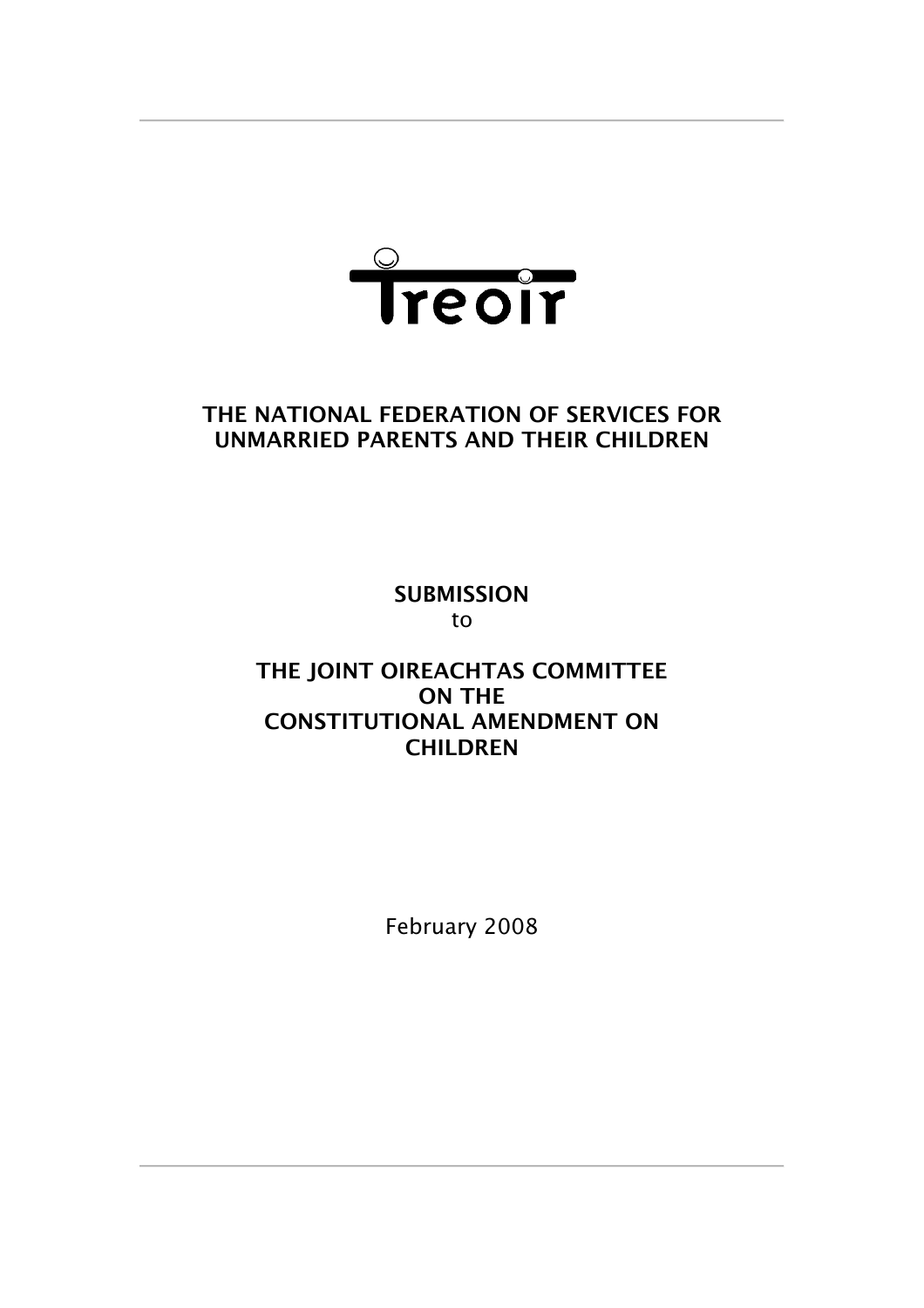

# **THE NATIONAL FEDERATION OF SERVICES FOR UNMARRIED PARENTS AND THEIR CHILDREN**

**SUBMISSION** to

# **THE JOINT OIREACHTAS COMMITTEE ON THE CONSTITUTIONAL AMENDMENT ON CHILDREN**

February 2008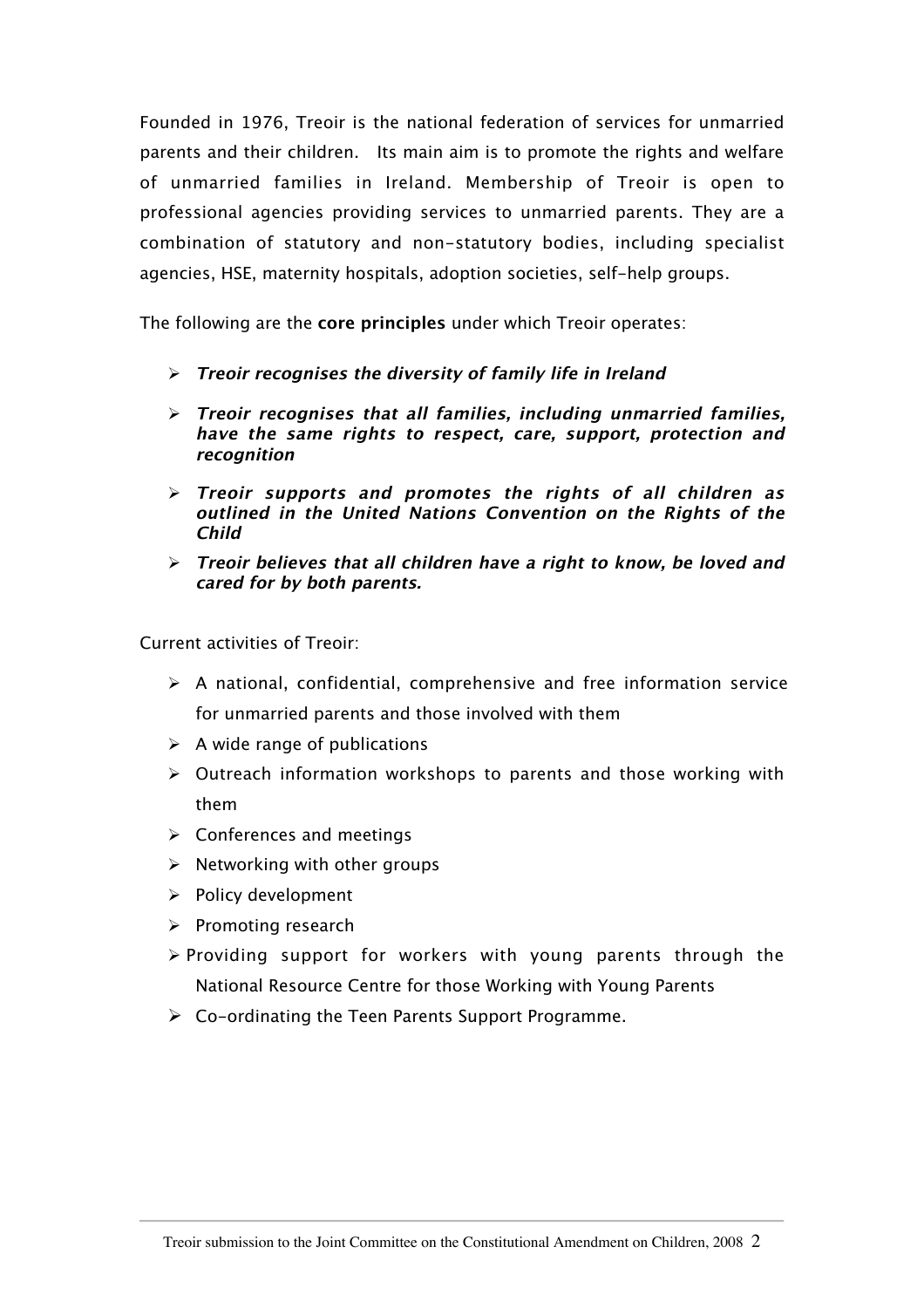Founded in 1976, Treoir is the national federation of services for unmarried parents and their children. Its main aim is to promote the rights and welfare of unmarried families in Ireland. Membership of Treoir is open to professional agencies providing services to unmarried parents. They are a combination of statutory and non-statutory bodies, including specialist agencies, HSE, maternity hospitals, adoption societies, self-help groups.

The following are the **core principles** under which Treoir operates:

- **Treoir recognises the diversity of family life in Ireland**
- **Treoir recognises that all families, including unmarried families, have the same rights to respect, care, support, protection and recognition**
- **Treoir supports and promotes the rights of all children as outlined in the United Nations Convention on the Rights of the Child**
- **Treoir believes that all children have a right to know, be loved and cared for by both parents.**

Current activities of Treoir:

- $\triangleright$  A national, confidential, comprehensive and free information service for unmarried parents and those involved with them
- $\triangleright$  A wide range of publications
- $\triangleright$  Outreach information workshops to parents and those working with them
- $\triangleright$  Conferences and meetings
- $\triangleright$  Networking with other groups
- $\triangleright$  Policy development
- $\triangleright$  Promoting research
- $\triangleright$  Providing support for workers with young parents through the National Resource Centre for those Working with Young Parents
- $\triangleright$  Co-ordinating the Teen Parents Support Programme.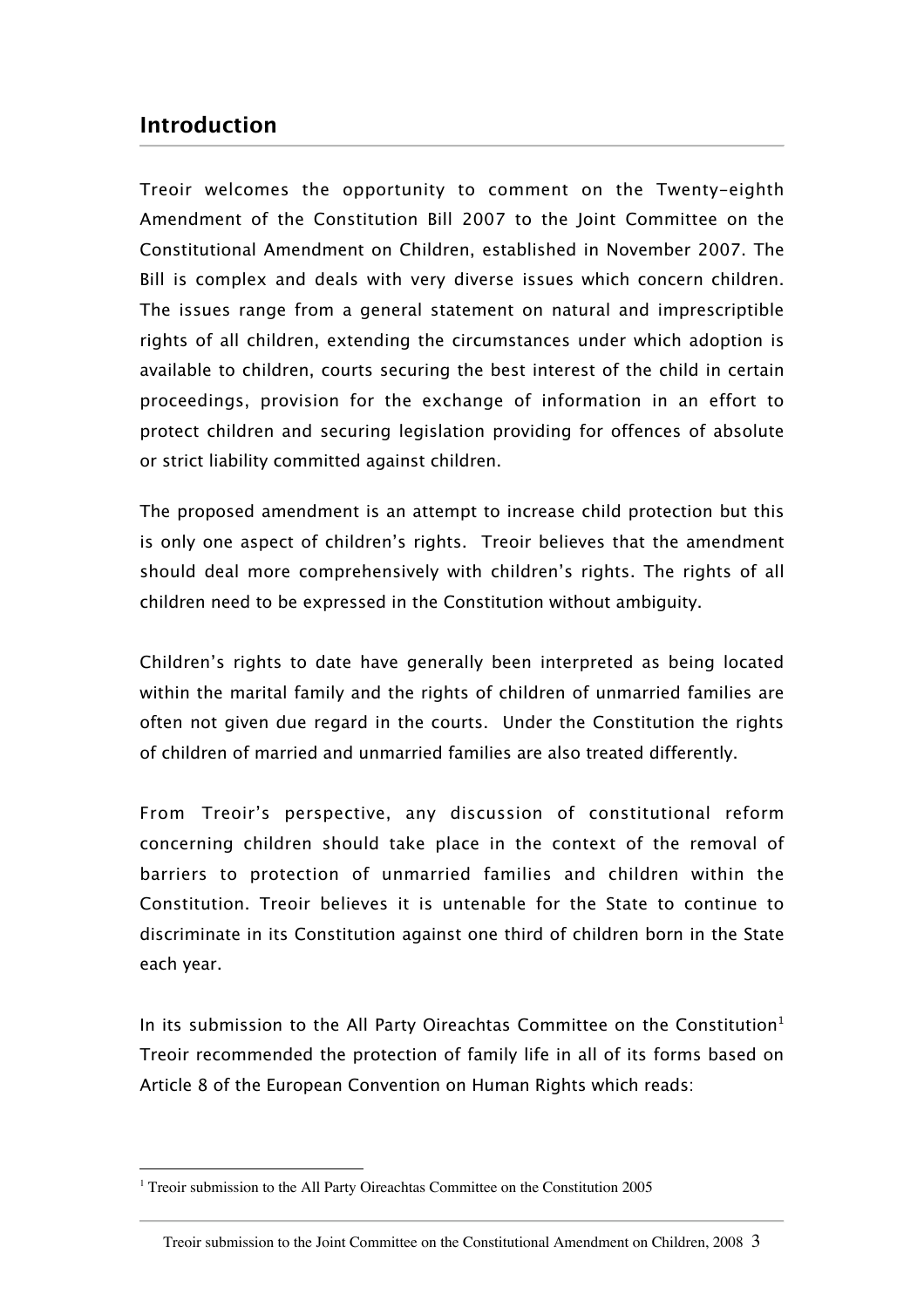# **Introduction**

Treoir welcomes the opportunity to comment on the Twenty-eighth Amendment of the Constitution Bill 2007 to the Joint Committee on the Constitutional Amendment on Children, established in November 2007. The Bill is complex and deals with very diverse issues which concern children. The issues range from a general statement on natural and imprescriptible rights of all children, extending the circumstances under which adoption is available to children, courts securing the best interest of the child in certain proceedings, provision for the exchange of information in an effort to protect children and securing legislation providing for offences of absolute or strict liability committed against children.

The proposed amendment is an attempt to increase child protection but this is only one aspect of children's rights. Treoir believes that the amendment should deal more comprehensively with children's rights. The rights of all children need to be expressed in the Constitution without ambiguity.

Children's rights to date have generally been interpreted as being located within the marital family and the rights of children of unmarried families are often not given due regard in the courts. Under the Constitution the rights of children of married and unmarried families are also treated differently.

From Treoir's perspective, any discussion of constitutional reform concerning children should take place in the context of the removal of barriers to protection of unmarried families and children within the Constitution. Treoir believes it is untenable for the State to continue to discriminate in its Constitution against one third of children born in the State each year.

In its submission to the All Party Oireachtas Committee on the Constitution<sup>1</sup> Treoir recommended the protection of family life in all of its forms based on Article 8 of the European Convention on Human Rights which reads:

<sup>|&</sup>lt;br>|<br>|  $1$  Treoir submission to the All Party Oireachtas Committee on the Constitution 2005

Treoir submission to the Joint Committee on the Constitutional Amendment on Children, 2008 3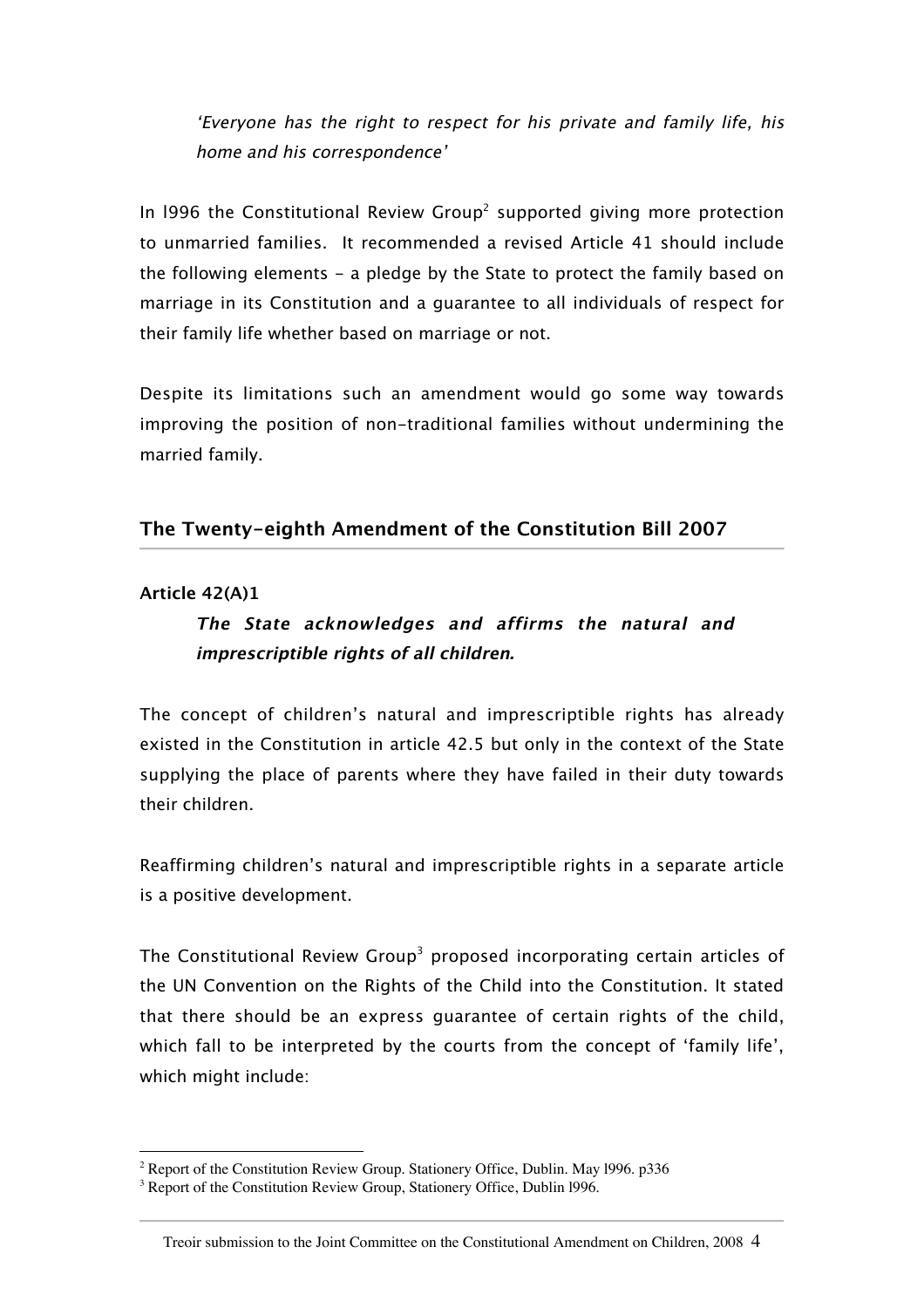'Everyone has the right to respect for his private and family life, his home and his correspondence'

In 1996 the Constitutional Review Group<sup>2</sup> supported giving more protection to unmarried families. It recommended a revised Article 41 should include the following elements - a pledge by the State to protect the family based on marriage in its Constitution and a guarantee to all individuals of respect for their family life whether based on marriage or not.

Despite its limitations such an amendment would go some way towards improving the position of non-traditional families without undermining the married family.

### **The Twenty-eighth Amendment of the Constitution Bill 2007**

#### **Article 42(A)1**

# **The State acknowledges and affirms the natural and imprescriptible rights of all children.**

The concept of children's natural and imprescriptible rights has already existed in the Constitution in article 42.5 but only in the context of the State supplying the place of parents where they have failed in their duty towards their children.

Reaffirming children's natural and imprescriptible rights in a separate article is a positive development.

The Constitutional Review Group<sup>3</sup> proposed incorporating certain articles of the UN Convention on the Rights of the Child into the Constitution. It stated that there should be an express guarantee of certain rights of the child, which fall to be interpreted by the courts from the concept of 'family life', which might include:

 $\frac{1}{2}$  $2^2$  Report of the Constitution Review Group. Stationery Office, Dublin. May 1996. p336

<sup>&</sup>lt;sup>3</sup> Report of the Constitution Review Group, Stationery Office, Dublin 1996.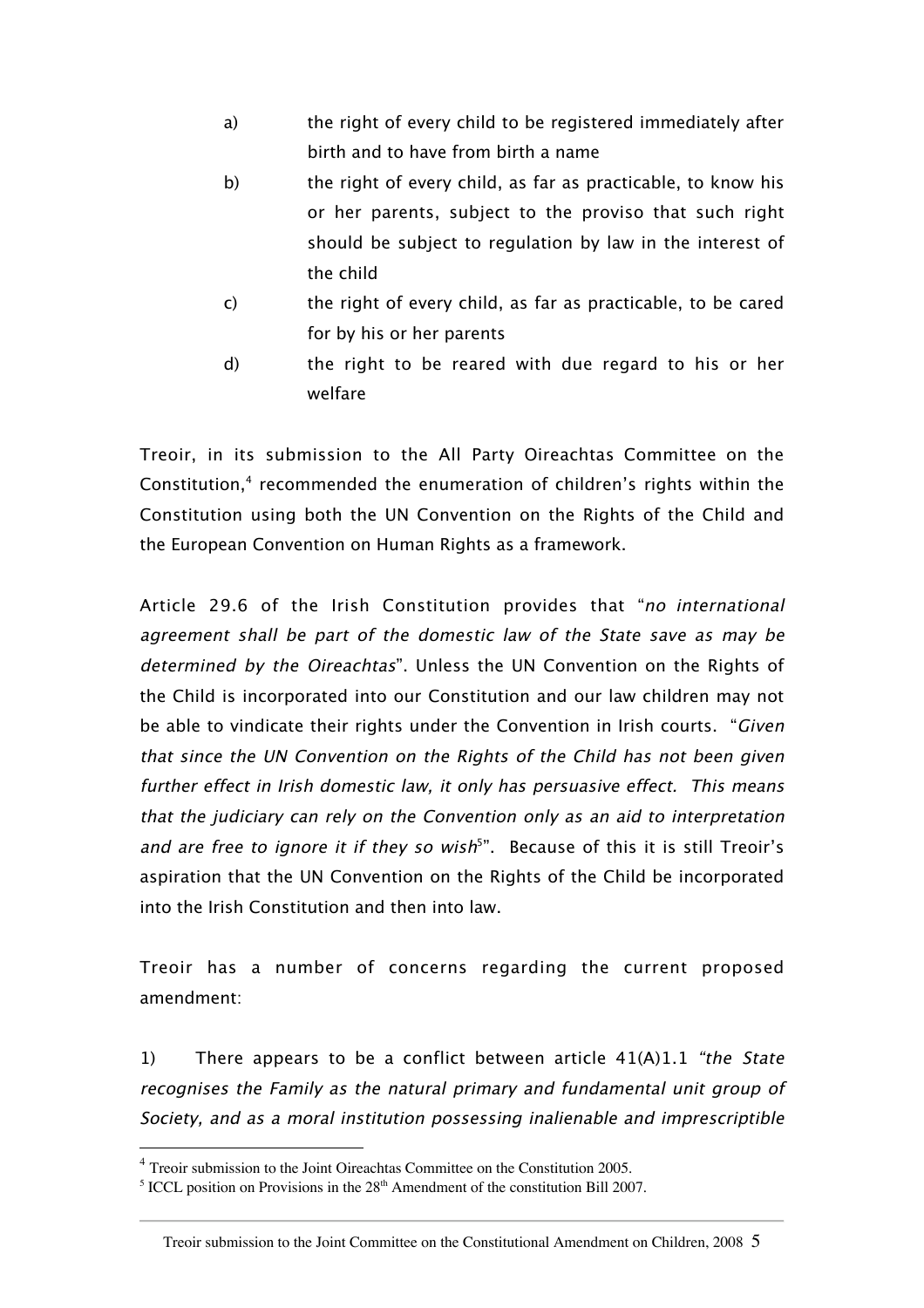- a) the right of every child to be registered immediately after birth and to have from birth a name
- b) the right of every child, as far as practicable, to know his or her parents, subject to the proviso that such right should be subject to regulation by law in the interest of the child
- c) the right of every child, as far as practicable, to be cared for by his or her parents
- d) the right to be reared with due regard to his or her welfare

Treoir, in its submission to the All Party Oireachtas Committee on the Constitution,4 recommended the enumeration of children's rights within the Constitution using both the UN Convention on the Rights of the Child and the European Convention on Human Rights as a framework.

Article 29.6 of the Irish Constitution provides that "no international agreement shall be part of the domestic law of the State save as may be determined by the Oireachtas". Unless the UN Convention on the Rights of the Child is incorporated into our Constitution and our law children may not be able to vindicate their rights under the Convention in Irish courts. "Given that since the UN Convention on the Rights of the Child has not been given further effect in Irish domestic law, it only has persuasive effect. This means that the judiciary can rely on the Convention only as an aid to interpretation and are free to ignore it if they so wish<sup>5</sup>". Because of this it is still Treoir's aspiration that the UN Convention on the Rights of the Child be incorporated into the Irish Constitution and then into law.

Treoir has a number of concerns regarding the current proposed amendment:

1) There appears to be a conflict between article  $41(A)1.1$  "the State" recognises the Family as the natural primary and fundamental unit group of Society, and as a moral institution possessing inalienable and imprescriptible

 <sup>4</sup> Treoir submission to the Joint Oireachtas Committee on the Constitution 2005.

<sup>&</sup>lt;sup>5</sup> ICCL position on Provisions in the  $28<sup>th</sup>$  Amendment of the constitution Bill 2007.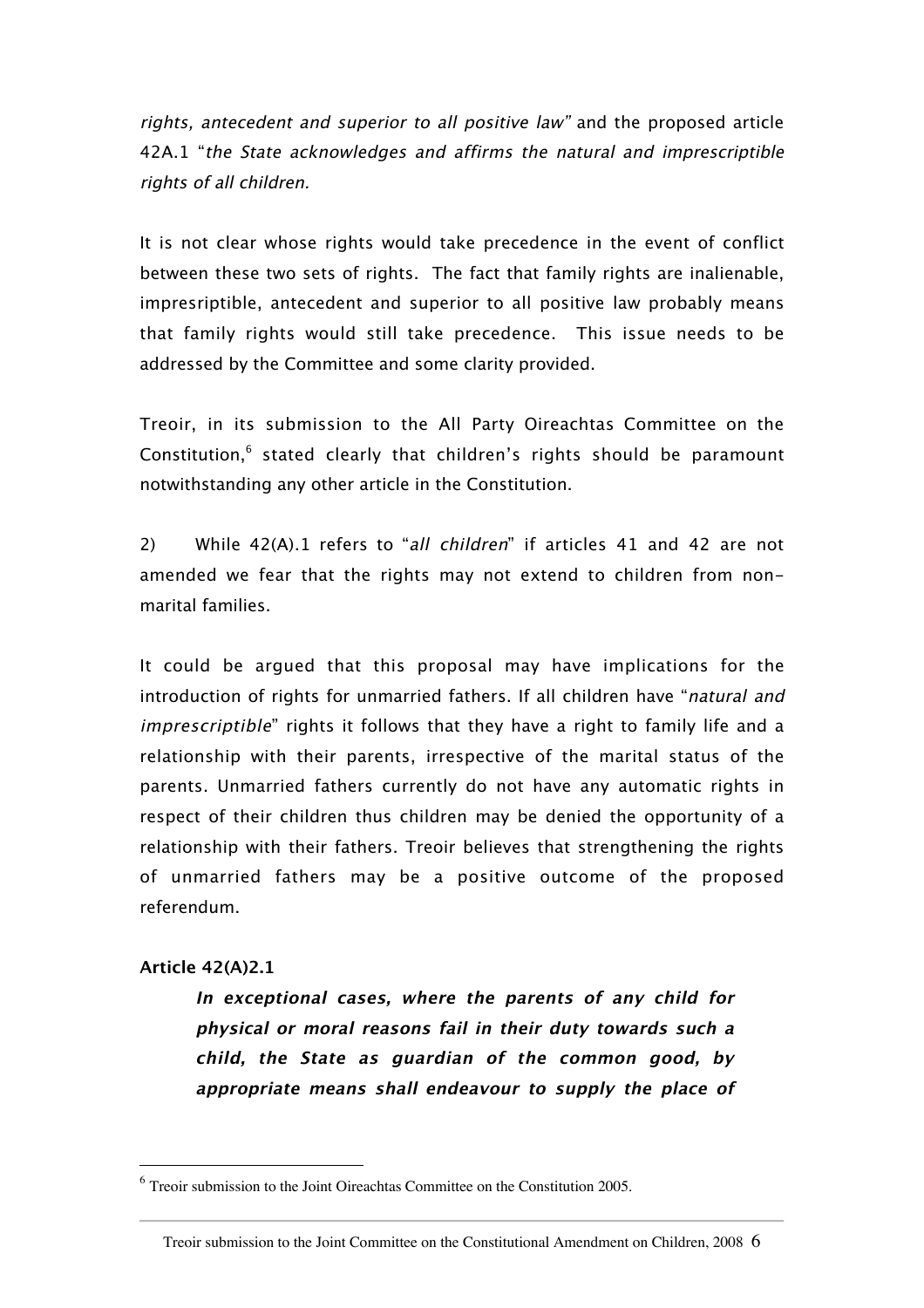rights, antecedent and superior to all positive law" and the proposed article 42A.1 "the State acknowledges and affirms the natural and imprescriptible rights of all children.

It is not clear whose rights would take precedence in the event of conflict between these two sets of rights. The fact that family rights are inalienable, impresriptible, antecedent and superior to all positive law probably means that family rights would still take precedence. This issue needs to be addressed by the Committee and some clarity provided.

Treoir, in its submission to the All Party Oireachtas Committee on the Constitution,<sup>6</sup> stated clearly that children's rights should be paramount notwithstanding any other article in the Constitution.

2) While 42(A).1 refers to "all children" if articles 41 and 42 are not amended we fear that the rights may not extend to children from nonmarital families.

It could be argued that this proposal may have implications for the introduction of rights for unmarried fathers. If all children have "natural and imprescriptible" rights it follows that they have a right to family life and a relationship with their parents, irrespective of the marital status of the parents. Unmarried fathers currently do not have any automatic rights in respect of their children thus children may be denied the opportunity of a relationship with their fathers. Treoir believes that strengthening the rights of unmarried fathers may be a positive outcome of the proposed referendum.

#### **Article 42(A)2.1**

**In exceptional cases, where the parents of any child for physical or moral reasons fail in their duty towards such a child, the State as guardian of the common good, by appropriate means shall endeavour to supply the place of**

 $6$  Treoir submission to the Joint Oireachtas Committee on the Constitution 2005.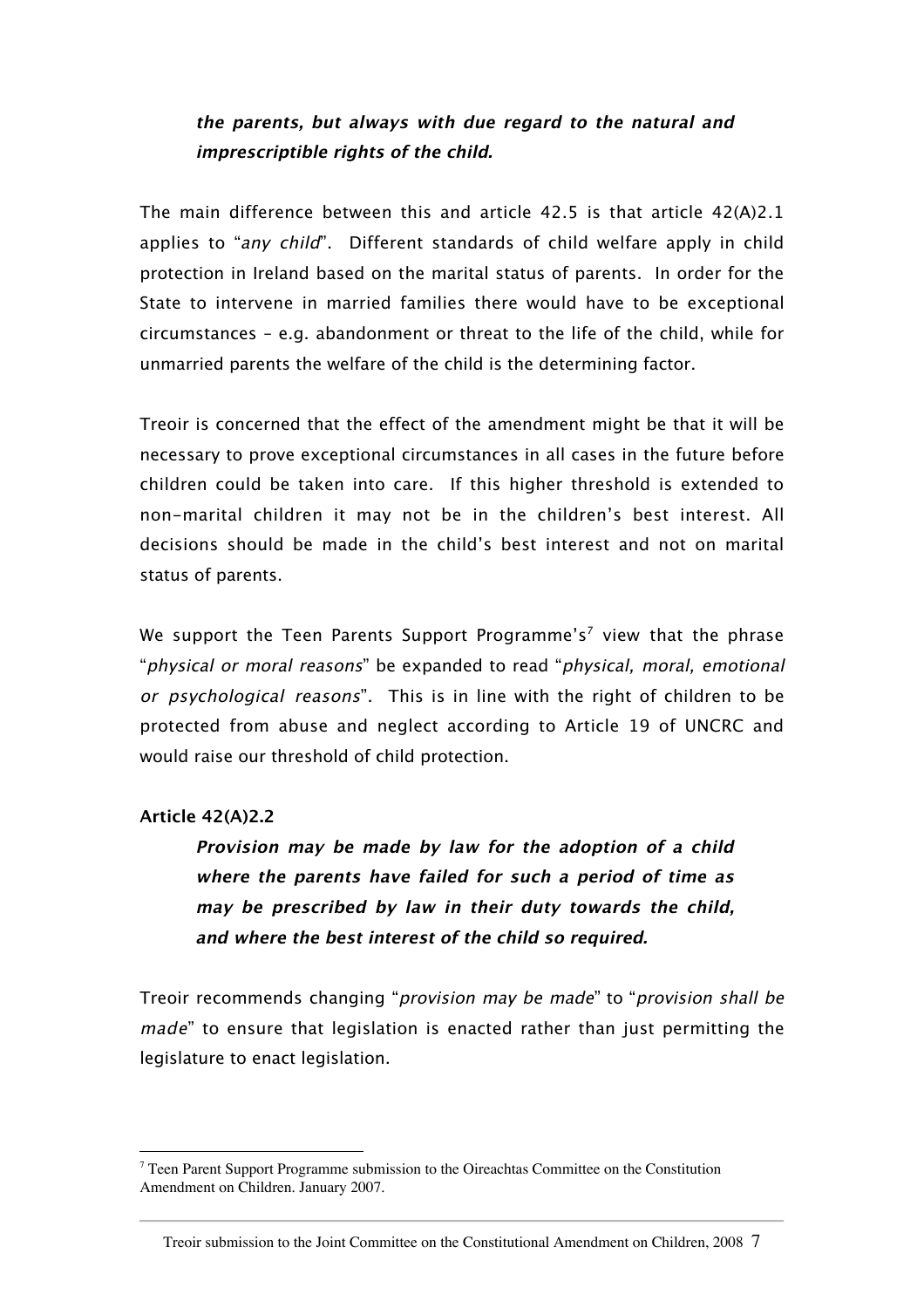## **the parents, but always with due regard to the natural and imprescriptible rights of the child.**

The main difference between this and article 42.5 is that article 42(A)2.1 applies to "any child". Different standards of child welfare apply in child protection in Ireland based on the marital status of parents. In order for the State to intervene in married families there would have to be exceptional circumstances – e.g. abandonment or threat to the life of the child, while for unmarried parents the welfare of the child is the determining factor.

Treoir is concerned that the effect of the amendment might be that it will be necessary to prove exceptional circumstances in all cases in the future before children could be taken into care. If this higher threshold is extended to non-marital children it may not be in the children's best interest. All decisions should be made in the child's best interest and not on marital status of parents.

We support the Teen Parents Support Programme's<sup>7</sup> view that the phrase "physical or moral reasons" be expanded to read "physical, moral, emotional or psychological reasons". This is in line with the right of children to be protected from abuse and neglect according to Article 19 of UNCRC and would raise our threshold of child protection.

#### **Article 42(A)2.2**

**Provision may be made by law for the adoption of a child where the parents have failed for such a period of time as may be prescribed by law in their duty towards the child, and where the best interest of the child so required.**

Treoir recommends changing "provision may be made" to "provision shall be made" to ensure that legislation is enacted rather than just permitting the legislature to enact legislation.

<sup>-&</sup>lt;br>7  $\frac{7}{1}$  Teen Parent Support Programme submission to the Oireachtas Committee on the Constitution Amendment on Children. January 2007.

Treoir submission to the Joint Committee on the Constitutional Amendment on Children, 2008 7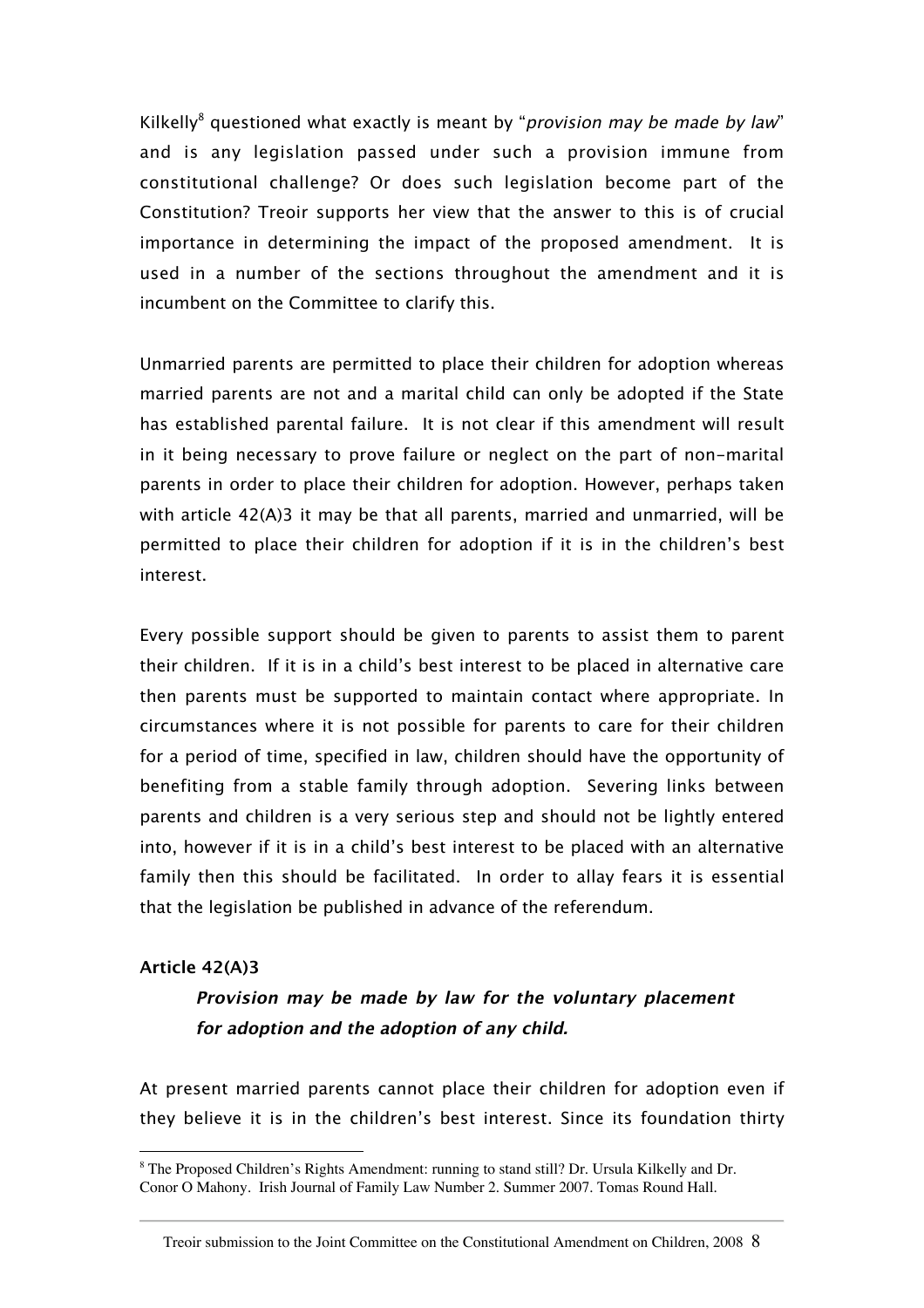Kilkelly<sup>8</sup> questioned what exactly is meant by "*provision may be made by law*" and is any legislation passed under such a provision immune from constitutional challenge? Or does such legislation become part of the Constitution? Treoir supports her view that the answer to this is of crucial importance in determining the impact of the proposed amendment. It is used in a number of the sections throughout the amendment and it is incumbent on the Committee to clarify this.

Unmarried parents are permitted to place their children for adoption whereas married parents are not and a marital child can only be adopted if the State has established parental failure. It is not clear if this amendment will result in it being necessary to prove failure or neglect on the part of non-marital parents in order to place their children for adoption. However, perhaps taken with article 42(A)3 it may be that all parents, married and unmarried, will be permitted to place their children for adoption if it is in the children's best interest.

Every possible support should be given to parents to assist them to parent their children. If it is in a child's best interest to be placed in alternative care then parents must be supported to maintain contact where appropriate. In circumstances where it is not possible for parents to care for their children for a period of time, specified in law, children should have the opportunity of benefiting from a stable family through adoption. Severing links between parents and children is a very serious step and should not be lightly entered into, however if it is in a child's best interest to be placed with an alternative family then this should be facilitated. In order to allay fears it is essential that the legislation be published in advance of the referendum.

#### **Article 42(A)3**

# **Provision may be made by law for the voluntary placement for adoption and the adoption of any child.**

At present married parents cannot place their children for adoption even if they believe it is in the children's best interest. Since its foundation thirty

 <sup>8</sup> The Proposed Children's Rights Amendment: running to stand still? Dr. Ursula Kilkelly and Dr. Conor O Mahony. Irish Journal of Family Law Number 2. Summer 2007. Tomas Round Hall.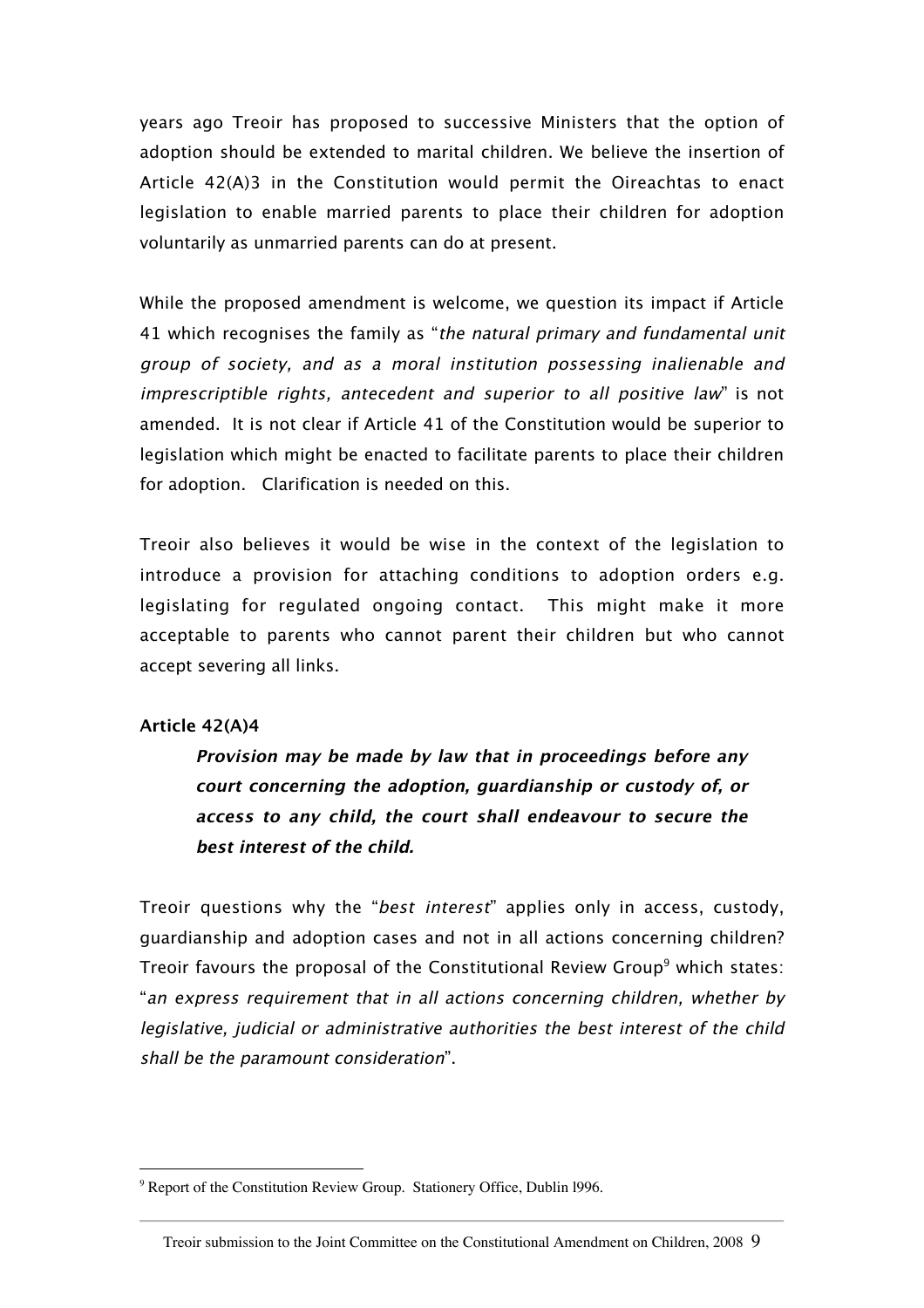years ago Treoir has proposed to successive Ministers that the option of adoption should be extended to marital children. We believe the insertion of Article 42(A)3 in the Constitution would permit the Oireachtas to enact legislation to enable married parents to place their children for adoption voluntarily as unmarried parents can do at present.

While the proposed amendment is welcome, we question its impact if Article 41 which recognises the family as "the natural primary and fundamental unit group of society, and as a moral institution possessing inalienable and imprescriptible rights, antecedent and superior to all positive law" is not amended. It is not clear if Article 41 of the Constitution would be superior to legislation which might be enacted to facilitate parents to place their children for adoption. Clarification is needed on this.

Treoir also believes it would be wise in the context of the legislation to introduce a provision for attaching conditions to adoption orders e.g. legislating for regulated ongoing contact. This might make it more acceptable to parents who cannot parent their children but who cannot accept severing all links.

#### **Article 42(A)4**

**Provision may be made by law that in proceedings before any court concerning the adoption, guardianship or custody of, or access to any child, the court shall endeavour to secure the best interest of the child.**

Treoir questions why the "best interest" applies only in access, custody, guardianship and adoption cases and not in all actions concerning children? Treoir favours the proposal of the Constitutional Review Group<sup>9</sup> which states: "an express requirement that in all actions concerning children, whether by legislative, judicial or administrative authorities the best interest of the child shall be the paramount consideration".

<sup>-&</sup>lt;br>9 <sup>9</sup> Report of the Constitution Review Group. Stationery Office, Dublin 1996.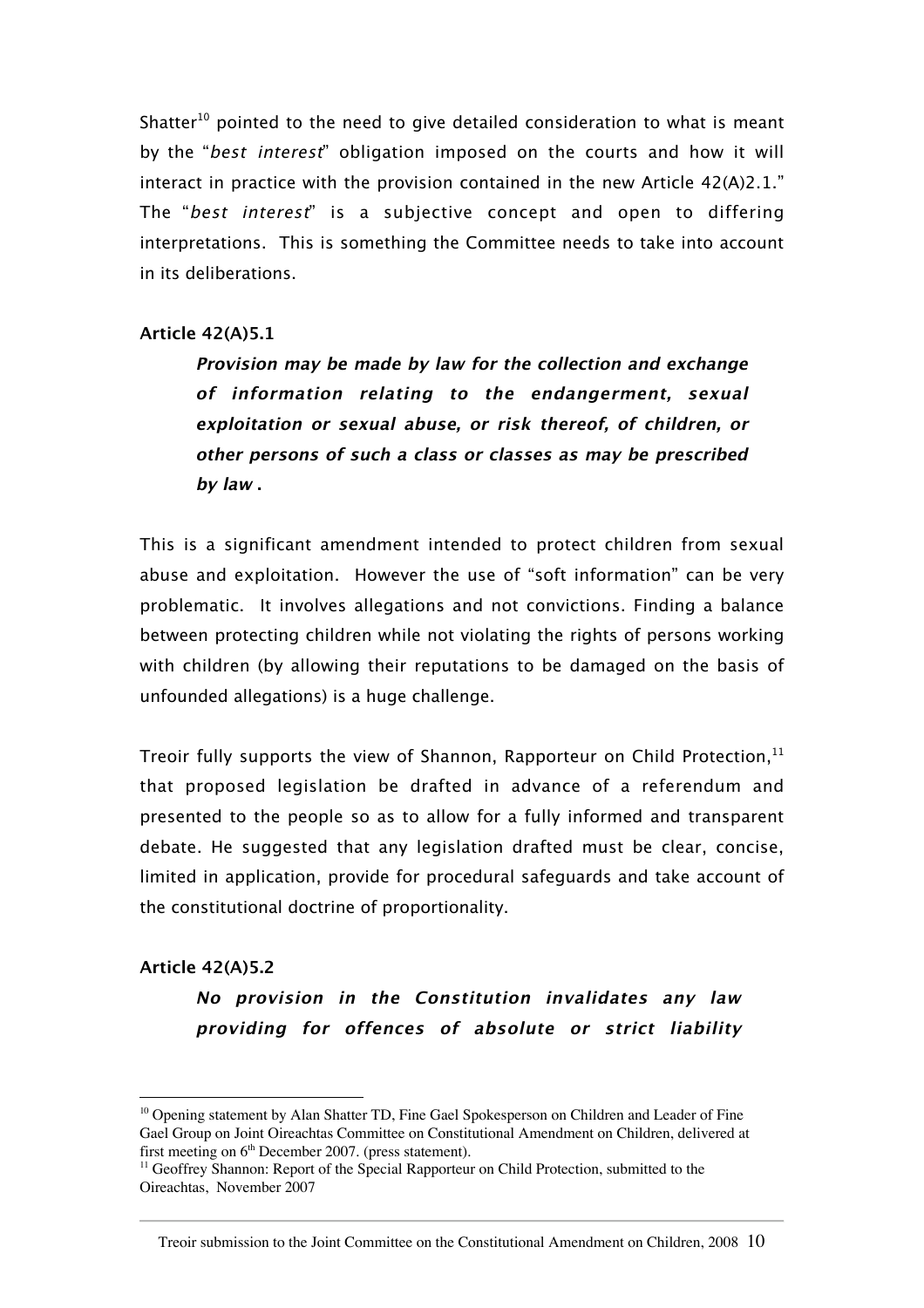Shatter<sup>10</sup> pointed to the need to give detailed consideration to what is meant by the "best interest" obligation imposed on the courts and how it will interact in practice with the provision contained in the new Article  $42(A)2.1$ ." The "best interest" is a subjective concept and open to differing interpretations. This is something the Committee needs to take into account in its deliberations.

#### **Article 42(A)5.1**

**Provision may be made by law for the collection and exchange of information relating to the endangerment, sexual exploitation or sexual abuse, or risk thereof, of children, or other persons of such a class or classes as may be prescribed by law .**

This is a significant amendment intended to protect children from sexual abuse and exploitation. However the use of "soft information" can be very problematic. It involves allegations and not convictions. Finding a balance between protecting children while not violating the rights of persons working with children (by allowing their reputations to be damaged on the basis of unfounded allegations) is a huge challenge.

Treoir fully supports the view of Shannon, Rapporteur on Child Protection, $<sup>11</sup>$ </sup> that proposed legislation be drafted in advance of a referendum and presented to the people so as to allow for a fully informed and transparent debate. He suggested that any legislation drafted must be clear, concise, limited in application, provide for procedural safeguards and take account of the constitutional doctrine of proportionality.

#### **Article 42(A)5.2**

**No provision in the Constitution invalidates any law providing for offences of absolute or strict liability**

<sup>&</sup>lt;sup>10</sup> Opening statement by Alan Shatter TD, Fine Gael Spokesperson on Children and Leader of Fine Gael Group on Joint Oireachtas Committee on Constitutional Amendment on Children, delivered at first meeting on 6<sup>th</sup> December 2007. (press statement).

<sup>&</sup>lt;sup>11</sup> Geoffrey Shannon: Report of the Special Rapporteur on Child Protection, submitted to the Oireachtas, November 2007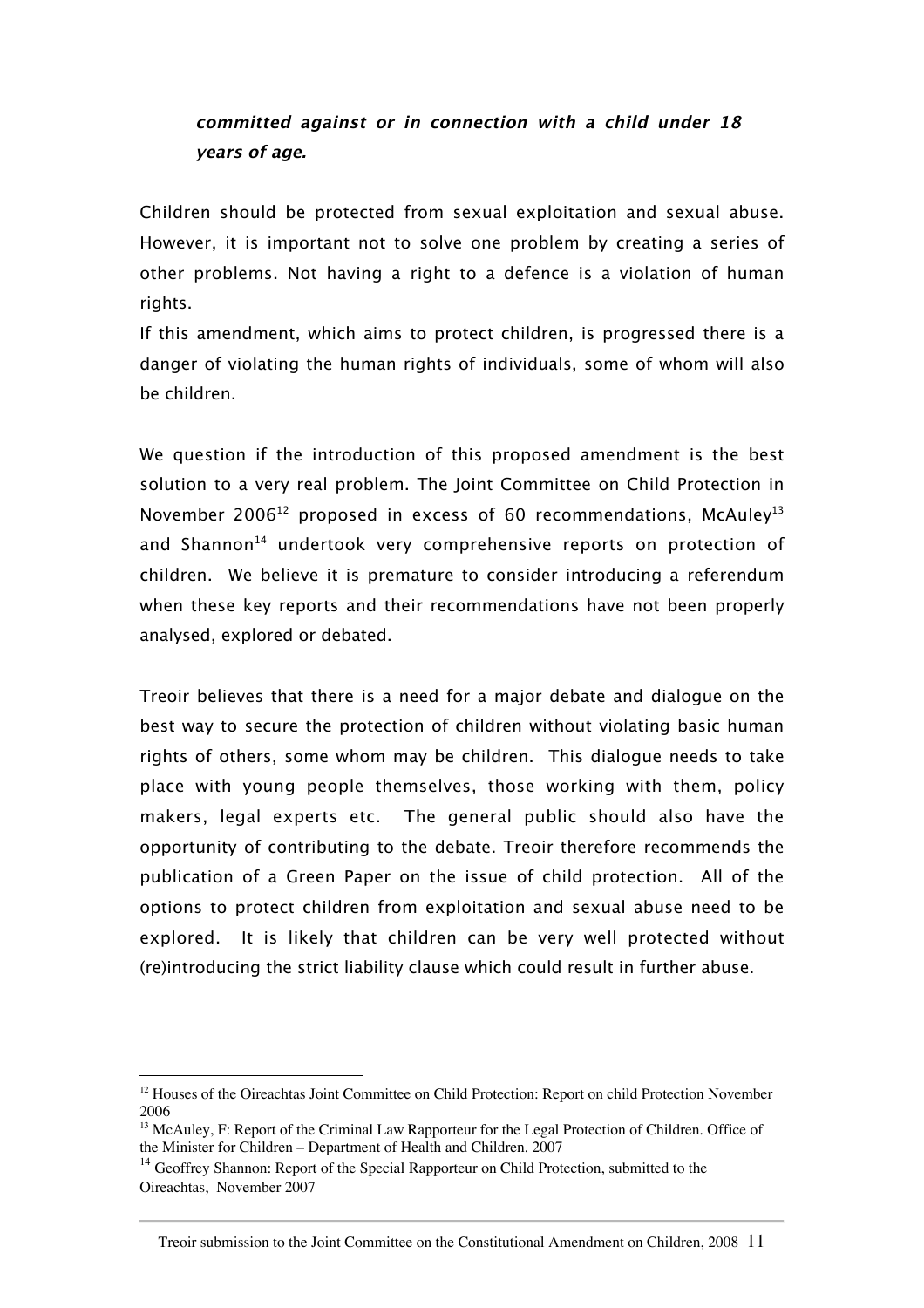# **committed against or in connection with a child under 18 years of age.**

Children should be protected from sexual exploitation and sexual abuse. However, it is important not to solve one problem by creating a series of other problems. Not having a right to a defence is a violation of human rights.

If this amendment, which aims to protect children, is progressed there is a danger of violating the human rights of individuals, some of whom will also be children.

We question if the introduction of this proposed amendment is the best solution to a very real problem. The Joint Committee on Child Protection in November 2006<sup>12</sup> proposed in excess of 60 recommendations, McAuley<sup>13</sup> and Shannon<sup>14</sup> undertook very comprehensive reports on protection of children. We believe it is premature to consider introducing a referendum when these key reports and their recommendations have not been properly analysed, explored or debated.

Treoir believes that there is a need for a major debate and dialogue on the best way to secure the protection of children without violating basic human rights of others, some whom may be children. This dialogue needs to take place with young people themselves, those working with them, policy makers, legal experts etc. The general public should also have the opportunity of contributing to the debate. Treoir therefore recommends the publication of a Green Paper on the issue of child protection. All of the options to protect children from exploitation and sexual abuse need to be explored. It is likely that children can be very well protected without (re)introducing the strict liability clause which could result in further abuse.

<sup>&</sup>lt;sup>12</sup> Houses of the Oireachtas Joint Committee on Child Protection: Report on child Protection November 2006

<sup>&</sup>lt;sup>13</sup> McAuley, F: Report of the Criminal Law Rapporteur for the Legal Protection of Children. Office of the Minister for Children – Department of Health and Children. 2007

 $14$  Geoffrey Shannon: Report of the Special Rapporteur on Child Protection, submitted to the Oireachtas, November 2007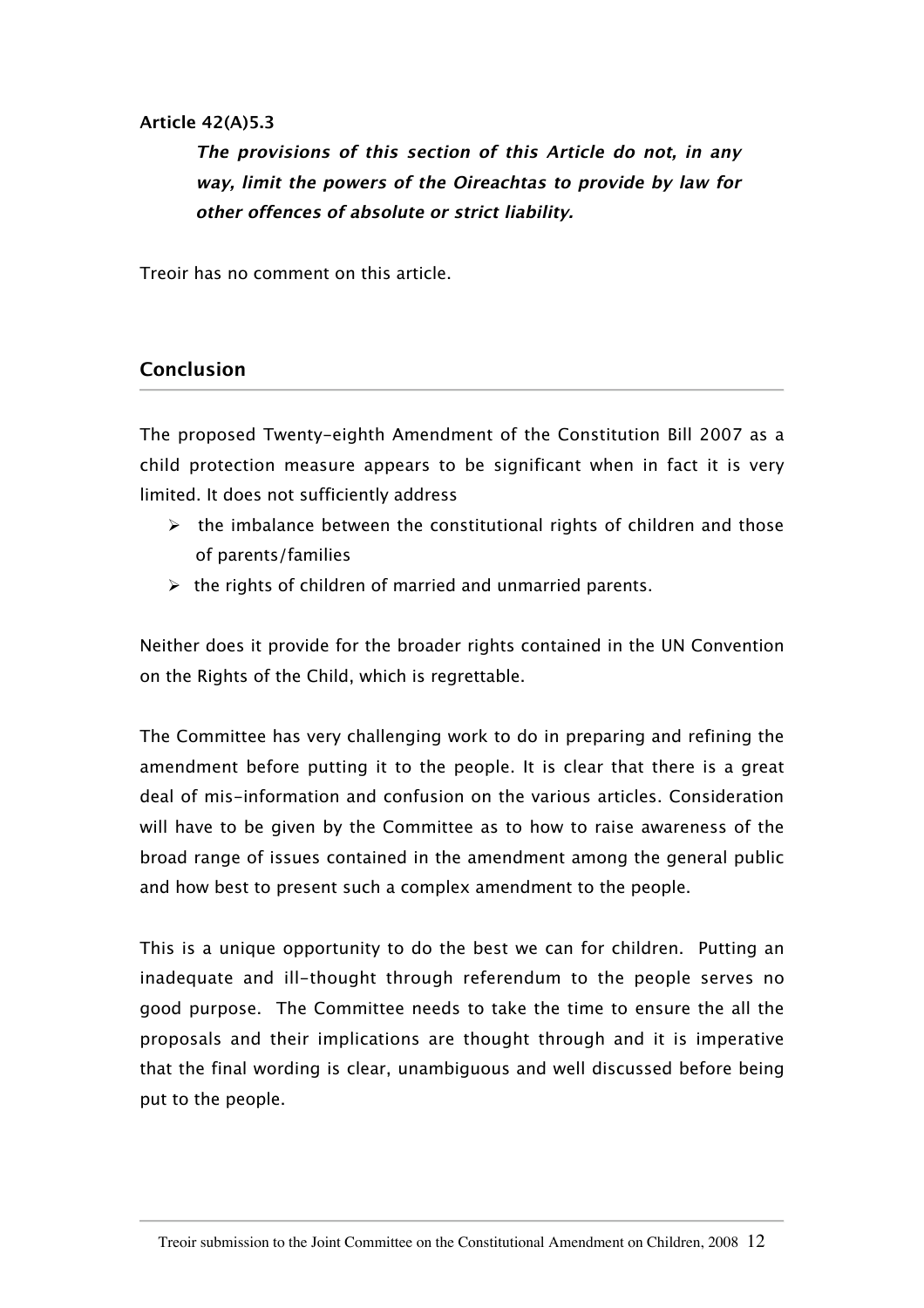#### **Article 42(A)5.3**

**The provisions of this section of this Article do not, in any way, limit the powers of the Oireachtas to provide by law for other offences of absolute or strict liability.**

Treoir has no comment on this article.

#### **Conclusion**

The proposed Twenty-eighth Amendment of the Constitution Bill 2007 as a child protection measure appears to be significant when in fact it is very limited. It does not sufficiently address

- $\triangleright$  the imbalance between the constitutional rights of children and those of parents/families
- $\triangleright$  the rights of children of married and unmarried parents.

Neither does it provide for the broader rights contained in the UN Convention on the Rights of the Child, which is regrettable.

The Committee has very challenging work to do in preparing and refining the amendment before putting it to the people. It is clear that there is a great deal of mis-information and confusion on the various articles. Consideration will have to be given by the Committee as to how to raise awareness of the broad range of issues contained in the amendment among the general public and how best to present such a complex amendment to the people.

This is a unique opportunity to do the best we can for children. Putting an inadequate and ill-thought through referendum to the people serves no good purpose. The Committee needs to take the time to ensure the all the proposals and their implications are thought through and it is imperative that the final wording is clear, unambiguous and well discussed before being put to the people.